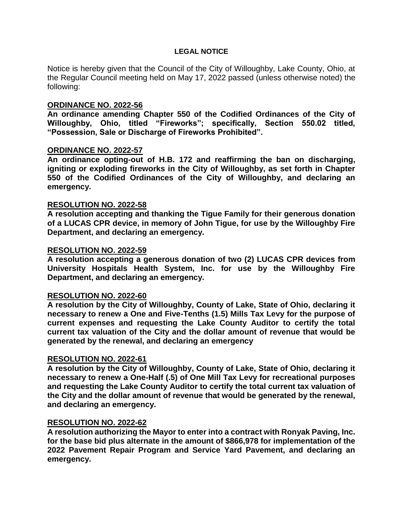### **LEGAL NOTICE**

Notice is hereby given that the Council of the City of Willoughby, Lake County, Ohio, at the Regular Council meeting held on May 17, 2022 passed (unless otherwise noted) the following:

### **ORDINANCE NO. 2022-56**

**An ordinance amending Chapter 550 of the Codified Ordinances of the City of Willoughby, Ohio, titled "Fireworks"; specifically, Section 550.02 titled, "Possession, Sale or Discharge of Fireworks Prohibited".** 

#### **ORDINANCE NO. 2022-57**

**An ordinance opting-out of H.B. 172 and reaffirming the ban on discharging, igniting or exploding fireworks in the City of Willoughby, as set forth in Chapter 550 of the Codified Ordinances of the City of Willoughby, and declaring an emergency.**

#### **RESOLUTION NO. 2022-58**

**A resolution accepting and thanking the Tigue Family for their generous donation of a LUCAS CPR device, in memory of John Tigue, for use by the Willoughby Fire Department, and declaring an emergency.**

#### **RESOLUTION NO. 2022-59**

**A resolution accepting a generous donation of two (2) LUCAS CPR devices from University Hospitals Health System, Inc. for use by the Willoughby Fire Department, and declaring an emergency.**

### **RESOLUTION NO. 2022-60**

**A resolution by the City of Willoughby, County of Lake, State of Ohio, declaring it necessary to renew a One and Five-Tenths (1.5) Mills Tax Levy for the purpose of current expenses and requesting the Lake County Auditor to certify the total current tax valuation of the City and the dollar amount of revenue that would be generated by the renewal, and declaring an emergency**

### **RESOLUTION NO. 2022-61**

**A resolution by the City of Willoughby, County of Lake, State of Ohio, declaring it necessary to renew a One-Half (.5) of One Mill Tax Levy for recreational purposes and requesting the Lake County Auditor to certify the total current tax valuation of the City and the dollar amount of revenue that would be generated by the renewal, and declaring an emergency.** 

## **RESOLUTION NO. 2022-62**

**A resolution authorizing the Mayor to enter into a contract with Ronyak Paving, Inc. for the base bid plus alternate in the amount of \$866,978 for implementation of the 2022 Pavement Repair Program and Service Yard Pavement, and declaring an emergency.**